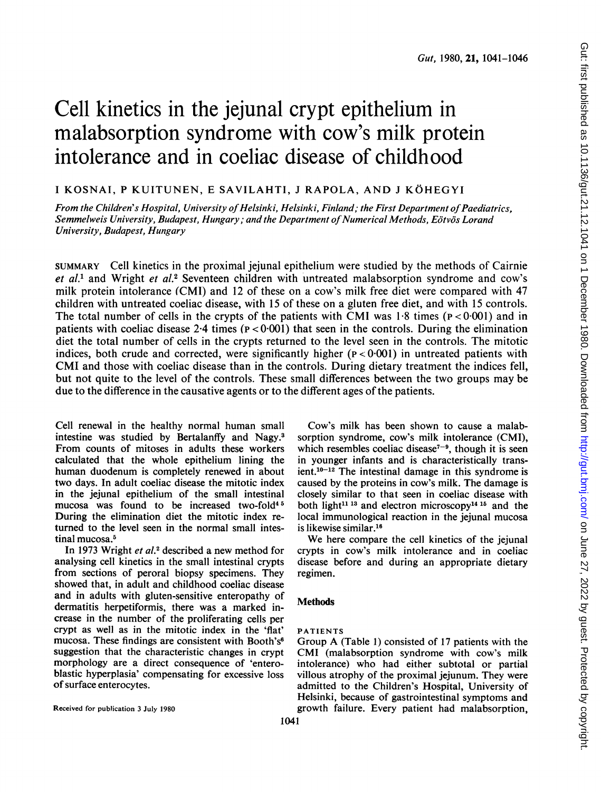# Cell kinetics in the jejunal crypt epithelium in malabsorption syndrome with cow's milk protein intolerance and in coeliac disease of childhood

<sup>I</sup> KOSNAI, <sup>P</sup> KUITUNEN, E SAVILAHTI, <sup>J</sup> RAPOLA, AND <sup>J</sup> KOHEGYI

From the Children's Hospital, University of Helsinki, Helsinki, Finland; the First Department of Paediatrics, Semmelweis University, Budapest, Hungary; and the Department of Numerical Methods, Eötvös Lorand University, Budapest, Hungary

SUMMARY Cell kinetics in the proximal jejunal epithelium were studied by the methods of Cairnie  $et$  al.<sup>1</sup> and Wright et al.<sup>2</sup> Seventeen children with untreated malabsorption syndrome and cow's milk protein intolerance (CMI) and 12 of these on a cow's milk free diet were compared with 47 children with untreated coeliac disease, with 15 of these on a gluten free diet, and with 15 controls. The total number of cells in the crypts of the patients with CMI was  $1.8$  times ( $p < 0.001$ ) and in patients with coeliac disease 2.4 times  $(p < 0.001)$  that seen in the controls. During the elimination diet the total number of cells in the crypts returned to the level seen in the controls. The mitotic indices, both crude and corrected, were significantly higher  $(p < 0.001)$  in untreated patients with CMI and those with coeliac disease than in the controls. During dietary treatment the indices fell, but not quite to the level of the controls. These small differences between the two groups may be due to the difference in the causative agents or to the different ages of the patients.

Cell renewal in the healthy normal human small intestine was studied by Bertalanffy and Nagy.3 From counts of mitoses in adults these workers calculated that the whole epithelium lining the human duodenum is completely renewed in about two days. In adult coeliac disease the mitotic index in the jejunal epithelium of the small intestinal mucosa was found to be increased two-fold<sup>45</sup> During the elimination diet the mitotic index returned to the level seen in the normal small intestinal mucosa.<sup>5</sup>

In 1973 Wright et al.<sup>2</sup> described a new method for analysing cell kinetics in the small intestinal crypts from sections of peroral biopsy specimens. They showed that, in adult and childhood coeliac disease and in adults with gluten-sensitive enteropathy of dermatitis herpetiformis, there was a marked increase in the number of the proliferating cells per crypt as well as in the mitotic index in the 'flat' mucosa. These findings are consistent with Booth's<sup>6</sup> suggestion that the characteristic changes in crypt morphology are a direct consequence of 'enteroblastic hyperplasia' compensating for excessive loss of surface enterocytes.

Received for publication 3 July 1980

Cow's milk has been shown to cause a malabsorption syndrome, cow's milk intolerance (CMI), which resembles coeliac disease<sup> $7-9$ </sup>, though it is seen in younger infants and is characteristically transient.<sup>10-12</sup> The intestinal damage in this syndrome is caused by the proteins in cow's milk. The damage is closely similar to that seen in coeliac disease with both light<sup>11 13</sup> and electron microscopy<sup>14 15</sup> and the local immunological reaction in the jejunal mucosa is likewise similar.16

We here compare the cell kinetics of the jejunal crypts in cow's milk intolerance and in coeliac disease before and during an appropriate dietary regimen.

# Methods

# PATIENTS

Group A (Table 1) consisted of <sup>17</sup> patients with the CMI (malabsorption syndrome with cow's milk intolerance) who had either subtotal or partial villous atrophy of the proximal jejunum. They were admitted to the Children's Hospital, University of Helsinki, because of gastrointestinal symptoms and growth failure. Every patient had malabsorption,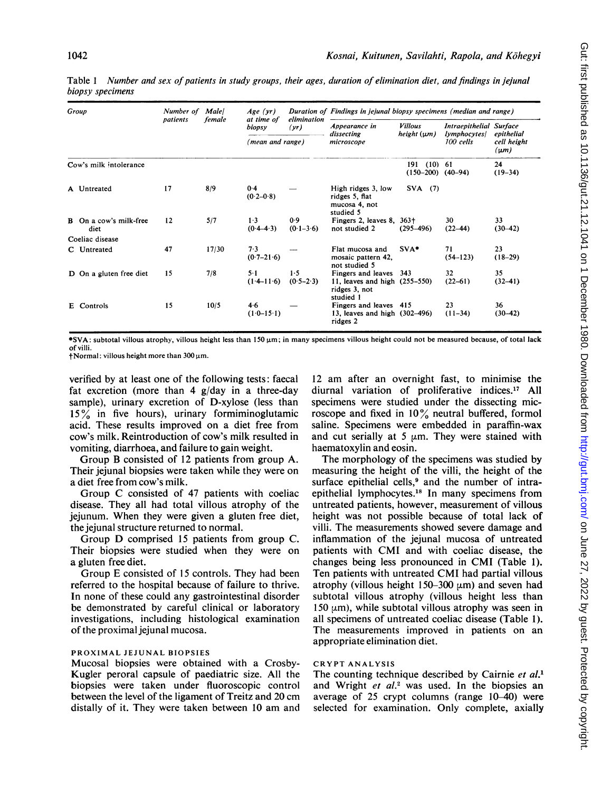| Group                                 | Number of<br>patients | Male<br>female | Age(yr)<br>at time of<br>biopsy | elimination<br>(yr) | Duration of Findings in jejunal biopsy specimens (median and range)                     |                                  |                                 |                                        |
|---------------------------------------|-----------------------|----------------|---------------------------------|---------------------|-----------------------------------------------------------------------------------------|----------------------------------|---------------------------------|----------------------------------------|
|                                       |                       |                |                                 |                     | Appearance in                                                                           | <b>Villous</b>                   | <b>Intraepithelial Surface</b>  |                                        |
|                                       |                       |                | (mean and range)                |                     | dissecting<br>microscope                                                                | height $(\mu m)$                 | <i>lymphocytes</i><br>100 cells | epithelial<br>cell height<br>$(\mu m)$ |
| Cow's milk intolerance                |                       |                |                                 |                     |                                                                                         | 191(10)<br>$(150-200)$ $(40-94)$ | 61                              | 24<br>$(19-34)$                        |
| A Untreated                           | 17                    | 8/9            | 0.4<br>$(0.2 - 0.8)$            |                     | High ridges 3, low<br>ridges 5, flat<br>mucosa 4, not<br>studied 5                      | $SVA$ (7)                        |                                 |                                        |
| <b>B</b> On a cow's milk-free<br>diet | 12                    | 5/7            | $1-3$<br>$(0.4 - 4.3)$          | 09<br>$(0.1 - 3.6)$ | Fingers 2, leaves 8,<br>not studied 2                                                   | $363+$<br>$(295 - 496)$          | 30<br>$(22-44)$                 | 33<br>$(30-42)$                        |
| Coeliac disease                       |                       |                |                                 |                     |                                                                                         |                                  |                                 |                                        |
| C Untreated                           | 47                    | 17/30          | 7.3<br>$(0.7 - 21.6)$           |                     | Flat mucosa and<br>mosaic pattern 42,<br>not studied 5                                  | $SVA*$                           | 71<br>$(54 - 123)$              | 23<br>$(18-29)$                        |
| D On a gluten free diet               | 15                    | 7/8            | $5-1$<br>$(1.4 - 11.6)$         | 1.5<br>$(0.5-2.3)$  | Fingers and leaves 343<br>11, leaves and high $(255-550)$<br>ridges 3, not<br>studied 1 |                                  | 32<br>$(22-61)$                 | 35<br>$(32-41)$                        |
| E Controls                            | 15                    | 10/5           | 4.6<br>$(1.0 - 15.1)$           |                     | Fingers and leaves 415<br>13, leaves and high (302–496)<br>ridges 2                     |                                  | 23<br>$(11-34)$                 | 36<br>$(30-42)$                        |

Table 1 Number and sex of patients in study groups, their ages, duration of elimination diet, and findings in jejunal biopsy specimens

\*SVA: subtotal villous atrophy, villous height less than 150 gm; in many specimens villous height could not be measured because, of total lack of villi.

 $\dagger$ Normal: villous height more than 300  $\mu$ m.

sample), urinary excretion of D-xylose (less than  $15\%$  in five hours), urinary formiminoglutamic vomiting, diarrhoea, and failure to gain weight.

Group B consisted of 12 patients from group A. The morphology of the specimens was studied by Their jejunal biopsies were taken while they were on measuring the height of the villi, the height of the

disease. They all had total villous atrophy of the untreated patients, however, measurement of villous jeiunum. When they were given a gluten free diet, height was not possible because of total lack of the jejunal structure returned to normal. villi. The measurements showed severe damage and

Group D comprised 15 patients from group C. inflammation of the jejunal mucosa of untreated Their biopsies were studied when they were on patients with CMI and with coeliac disease, the

referred to the hospital because of failure to thrive. atrophy (villous height  $150-300 \mu m$ ) and seven had In none of these could any gastrointestinal disorder subtotal villous atrophy (villous height less than In none of these could any gastrointestinal disorder be demonstrated by careful clinical or laboratory 150  $\mu$ m), while subtotal villous atrophy was seen in investigations, including histological examination all specimens of untreated coeliac disease (Table 1). of the proximal jejunal mucosa. The measurements improved in patients on an

### PROXIMAL JEJUNAL BIOPSIES

Mucosal biopsies were obtained with a Crosby- CRYPT ANALYSIS Kugler peroral capsule of paediatric size. All the The counting technique described by Cairnie et al.<sup>1</sup> biopsies were taken under fluoroscopic control and Wright et  $al$ <sup>2</sup> was used. In the biopsies an between the level of the ligament of Treitz and 20 cm average of 25 crypt columns (range 10-40) were distally of it. They were taken between <sup>10</sup> am and selected for examination. Only complete, axially

verified by at least one of the following tests: faecal <sup>12</sup> am after an overnight fast, to minimise the fat excretion (more than 4  $g/day$  in a three-day diurnal variation of proliferative indices.<sup>17</sup> All sample), urinary excretion of D-xylose (less than specimens were studied under the dissecting mic- $15\%$  in five hours), urinary formiminoglutamic roscope and fixed in  $10\%$  neutral buffered, formol acid. These results improved on a diet free from saline. Specimens were embedded in paraffin-wax saline. Specimens were embedded in paraffin-wax cow's milk. Reintroduction of cow's milk resulted in and cut serially at 5  $\mu$ m. They were stained with vomiting, diarrhoea, and failure to gain weight. haematoxylin and eosin.

Their jejunal biopsies were taken while they were on measuring the height of the villi, the height of the a diet free from cow's milk.<br>surface epithelial cells,<sup>9</sup> and the number of intrasurface epithelial cells, $9$  and the number of intra-Group C consisted of 47 patients with coeliac epithelial lymphocytes.<sup>18</sup> In many specimens from disease. They all had total villous atrophy of the untreated patients, however, measurement of villous height was not possible because of total lack of patients with CMI and with coeliac disease, the a gluten free diet.<br>Group E consisted of 15 controls. They had been Ten patients with untreated CMI had partial villous Ten patients with untreated CMI had partial villous appropriate elimination diet.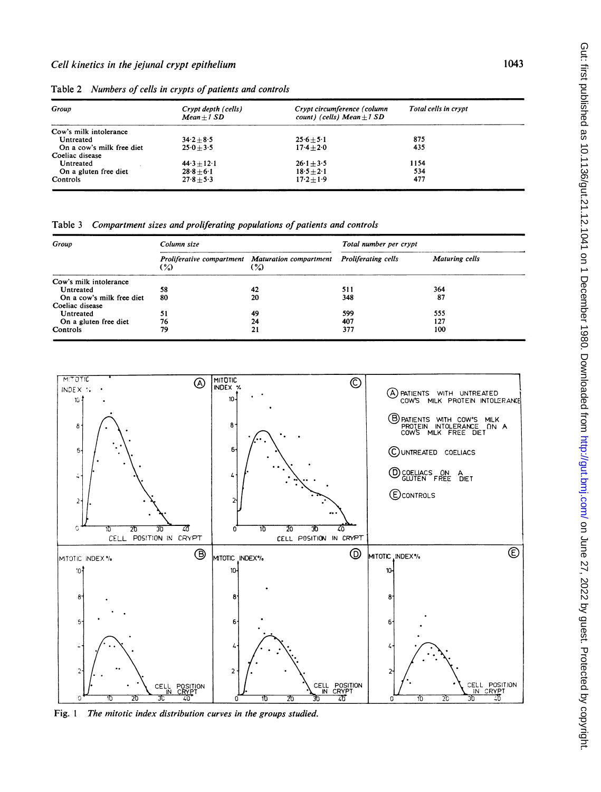| Group                     | Crypt depth (cells)<br>$Mean+1SD$ | Crypt circumference (column<br>count) (cells) Mean $\pm$ 1 SD | Total cells in crypt |  |
|---------------------------|-----------------------------------|---------------------------------------------------------------|----------------------|--|
| Cow's milk intolerance    |                                   |                                                               |                      |  |
| Untreated                 | $34.2 + 8.5$                      | $25.6 + 5.1$                                                  | 875                  |  |
| On a cow's milk free diet | $25.0 + 3.5$                      | $17.4 + 2.0$                                                  | 435                  |  |
| Coeliac disease           |                                   |                                                               |                      |  |
| Untreated                 | $44.3 + 12.1$                     | $26.1 + 3.5$                                                  | 1154                 |  |
| On a gluten free diet     | $28.8 + 6.1$                      | $18.5 + 2.1$                                                  | 534                  |  |
| Controls                  | $27.8 + 5.3$                      | $17.2 + 1.9$                                                  | 477                  |  |
|                           |                                   |                                                               |                      |  |

Table 2 Numbers of cells in crypts of patients and controls

Table 3 Compartment sizes and proliferating populations of patients and controls

| Group                     | Column size   |                                                                    | Total number per crypt     |                |  |
|---------------------------|---------------|--------------------------------------------------------------------|----------------------------|----------------|--|
|                           | $\frac{9}{2}$ | Proliferative compartment Maturation compartment<br>$\binom{9}{9}$ | <b>Proliferating cells</b> | Maturing cells |  |
| Cow's milk intolerance    |               |                                                                    |                            |                |  |
| Untreated                 | 58            | 42                                                                 | 511                        | 364            |  |
| On a cow's milk free diet | 80            | 20                                                                 | 348                        | 87             |  |
| Coeliac disease           |               |                                                                    |                            |                |  |
| Untreated                 | 51            | 49                                                                 | 599                        | 555            |  |
| On a gluten free diet     | 76            | 24                                                                 | 407                        | 127            |  |
| Controls                  | 79            | 21                                                                 | 377                        | 100            |  |



Fig. <sup>I</sup> The mitotic index distribution curves in the groups studied.

1043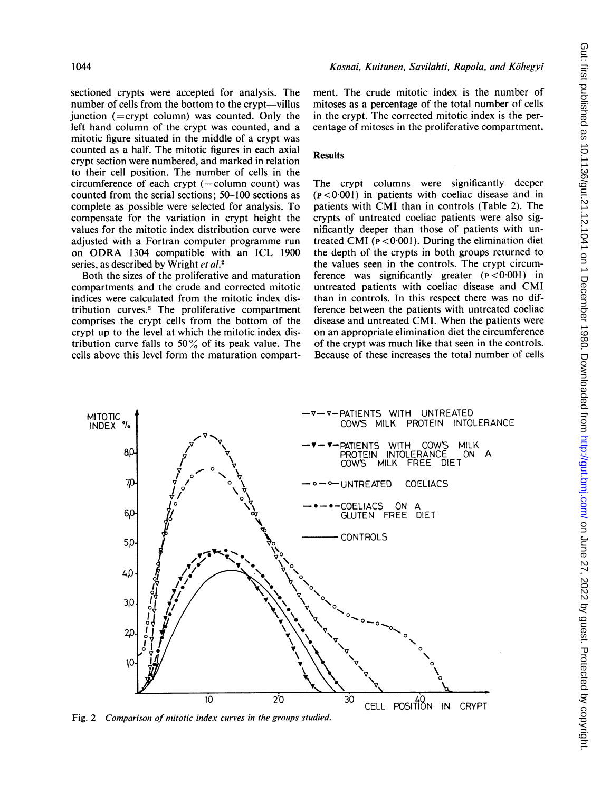sectioned crypts were accepted for analysis. The number of cells from the bottom to the crypt-villus junction (=crypt column) was counted. Only the left hand column of the crypt was counted, and a mitotic figure situated in the middle of a crypt was counted as a half. The mitotic figures in each axial crypt section were numbered, and marked in relation to their cell position. The number of cells in the circumference of each crypt  $($  = column count) was counted from the serial sections; 50-100 sections as complete as possible were selected for analysis. To compensate for the variation in crypt height the values for the mitotic index distribution curve were adjusted with a Fortran computer programme run on ODRA <sup>1304</sup> compatible with an ICL <sup>1900</sup> series, as described by Wright et al.<sup>2</sup>

Both the sizes of the proliferative and maturation compartments and the crude and corrected mitotic indices were calculated from the mitotic index distribution curves.2 The proliferative compartment comprises the crypt cells from the bottom of the crypt up to the level at which the mitotic index distribution curve falls to 50% of its peak value. The cells above this level form the maturation compartment. The crude mitotic index is the number of mitoses as a percentage of the total number of cells in the crypt. The corrected mitotic index is the percentage of mitoses in the proliferative compartment.

# Results

The crypt columns were significantly deeper  $(p < 0.001)$  in patients with coeliac disease and in patients with CMI than in controls (Table 2). The crypts of untreated coeliac patients were also significantly deeper than those of patients with untreated CMI ( $p < 0.001$ ). During the elimination diet the depth of the crypts in both groups returned to the values seen in the controls. The crypt circumference was significantly greater  $(p < 0.001)$  in untreated patients with coeliac disease and CMI than in controls. In this respect there was no difference between the patients with untreated coeliac disease and untreated CMI. When the patients were on an appropriate elimination diet the circumference of the crypt was much like that seen in the controls. Because of these increases the total number of cells



Fig. 2 Comparison of mitotic index curves in the groups studied.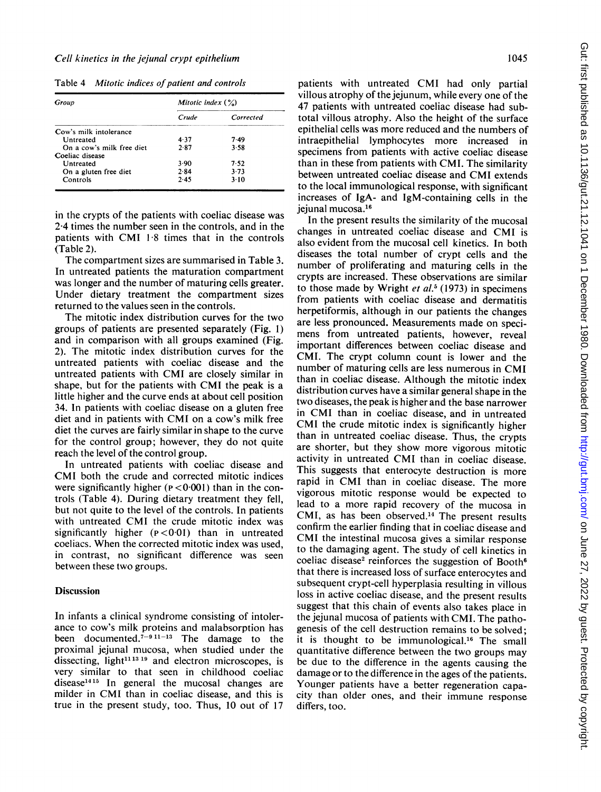Table 4 Mitotic indices of patient and controls

| Group                     | Mitotic index $(\%)$ |           |  |
|---------------------------|----------------------|-----------|--|
|                           | Crude                | Corrected |  |
| Cow's milk intolerance    |                      |           |  |
| Untreated                 | 4.37                 | 7.49      |  |
| On a cow's milk free diet | 2.87                 | 3.58      |  |
| Coeliac disease           |                      |           |  |
| Untreated                 | 3.90                 | 7.52      |  |
| On a gluten free diet     | 2.84                 | 3.73      |  |
| Controls                  | 2.45                 | $3-10$    |  |

in the crypts of the patients with coeliac disease was 2.4 times the number seen in the controls, and in the patients with CMI 1.8 times that in the controls (Table 2).

The compartment sizes are summarised in Table 3. In untreated patients the maturation compartment was longer and the number of maturing cells greater. Under dietary treatment the compartment sizes returned to the values seen in the controls.

The mitotic index distribution curves for the two groups of patients are presented separately (Fig. 1) and in comparison with all groups examined (Fig. 2). The mitotic index distribution curves for the untreated patients with coeliac disease and the untreated patients with CMI are closely similar in shape, but for the patients with CMI the peak is <sup>a</sup> little higher and the curve ends at about cell position 34. In patients with coeliac disease on a gluten free diet and in patients with CMI on <sup>a</sup> cow's milk free diet the curves are fairly similar in shape to the curve for the control group; however, they do not quite reach the level of the control group.

In untreated patients with coeliac disease and CMI both the crude and corrected mitotic indices were significantly higher  $(P < 0.001)$  than in the controls (Table 4). During dietary treatment they fell, but not quite to the level of the controls. In patients with untreated CMI the crude mitotic index was significantly higher  $(p < 0.01)$  than in untreated coeliacs. When the corrected mitotic index was used, in contrast, no significant difference was seen between these two groups.

# **Discussion**

In infants a clinical syndrome consisting of intolerance to cow's milk proteins and malabsorption has been documented. $7-911-13$  The damage to the proximal jejunal mucosa, when studied under the dissecting, light $111319$  and electron microscopes, is very similar to that seen in childhood coeliac disease<sup>1415</sup> In general the mucosal changes are milder in CMI than in coeliac disease, and this is true in the present study, too. Thus, 10 out of 17

patients with untreated CMI had only partial villous atrophy of the jejunum, while every one of the 47 patients with untreated coeliac disease had subtotal villous atrophy. Also the height of the surface epithelial cells was more reduced and the numbers of intraepithelial lymphocytes more increased in specimens from patients with active coeliac disease than in these from patients with CMI. The similarity between untreated coeliac disease and CMI extends to the local immunological response, with significant increases of IgA- and IgM-containing cells in the jejunal mucosa.<sup>16</sup>

In the present results the similarity of the mucosal changes in untreated coeliac disease and CMI is also evident from the mucosal cell kinetics. In both diseases the total number of crypt cells and the number of proliferating and maturing cells in the crypts are increased. These observations are similar to those made by Wright et al.<sup>5</sup> (1973) in specimens from patients with coeliac disease and dermatitis herpetiformis, although in our patients the changes are less pronounced. Measurements made on specimens from untreated patients, however, reveal important differences between coeliac disease and CMI. The crypt column count is lower and the number of maturing cells are less numerous in CMI than in coeliac disease. Although the mitotic index distribution curves have a similar general shape in the two diseases, the peak is higher and the base narrower in CMI than in coeliac disease, and in untreated CMI the crude mitotic index is significantly higher than in untreated coeliac disease. Thus, the crypts are shorter, but they show more vigorous mitotic activity in untreated CMI than in coeliac disease. This suggests that enterocyte destruction is more rapid in CMI than in coeliac disease. The more vigorous mitotic response would be expected to lead to a more rapid recovery of the mucosa in CMI, as has been observed.<sup>14</sup> The present results confirm the earlier finding that in coeliac disease and CMI the intestinal mucosa gives <sup>a</sup> similar response to the damaging agent. The study of cell kinetics in coeliac disease<sup>2</sup> reinforces the suggestion of Booth<sup>6</sup> that there is increased loss of surface enterocytes and subsequent crypt-cell hyperplasia resulting in villous loss in active coeliac disease, and the present results suggest that this chain of events also takes place in the jejunal mucosa of patients with CMI. The pathogenesis of the cell destruction remains to be solved; it is thought to be immunological.'6 The small quantitative difference between the two groups may be due to the difference in the agents causing the damage or to the difference in the ages of the patients. Younger patients have a better regeneration capacity than older ones, and their immune response differs, too.